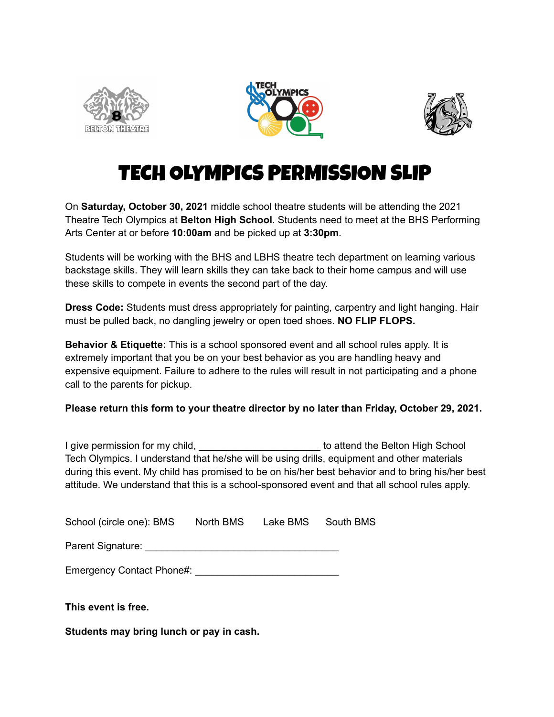





# TECH OLYMPICS PERMISSION SLIP

On **Saturday, October 30, 2021** middle school theatre students will be attending the 2021 Theatre Tech Olympics at **Belton High School**. Students need to meet at the BHS Performing Arts Center at or before **10:00am** and be picked up at **3:30pm**.

Students will be working with the BHS and LBHS theatre tech department on learning various backstage skills. They will learn skills they can take back to their home campus and will use these skills to compete in events the second part of the day.

**Dress Code:** Students must dress appropriately for painting, carpentry and light hanging. Hair must be pulled back, no dangling jewelry or open toed shoes. **NO FLIP FLOPS.**

**Behavior & Etiquette:** This is a school sponsored event and all school rules apply. It is extremely important that you be on your best behavior as you are handling heavy and expensive equipment. Failure to adhere to the rules will result in not participating and a phone call to the parents for pickup.

**Please return this form to your theatre director by no later than Friday, October 29, 2021.**

I give permission for my child, **Example 20 according to attend the Belton High School** Tech Olympics. I understand that he/she will be using drills, equipment and other materials during this event. My child has promised to be on his/her best behavior and to bring his/her best attitude. We understand that this is a school-sponsored event and that all school rules apply.

| School (circle one): BMS | North BMS | Lake BMS | South BMS |
|--------------------------|-----------|----------|-----------|
| Parent Signature:        |           |          |           |

Emergency Contact Phone#: \_\_\_\_\_\_\_\_\_\_\_\_\_\_\_\_\_\_\_\_\_\_\_\_\_\_

**This event is free.**

**Students may bring lunch or pay in cash.**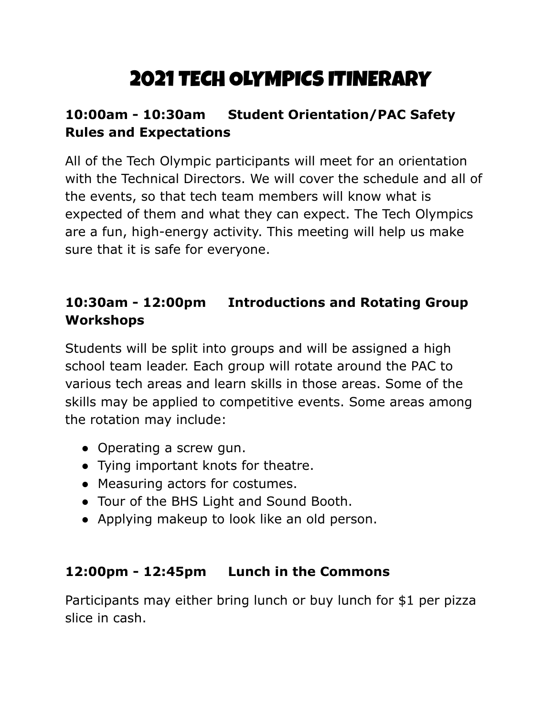# 2021 TECH OLYMPICS ITINERARY

## **10:00am - 10:30am Student Orientation/PAC Safety Rules and Expectations**

All of the Tech Olympic participants will meet for an orientation with the Technical Directors. We will cover the schedule and all of the events, so that tech team members will know what is expected of them and what they can expect. The Tech Olympics are a fun, high-energy activity. This meeting will help us make sure that it is safe for everyone.

## **10:30am - 12:00pm Introductions and Rotating Group Workshops**

Students will be split into groups and will be assigned a high school team leader. Each group will rotate around the PAC to various tech areas and learn skills in those areas. Some of the skills may be applied to competitive events. Some areas among the rotation may include:

- Operating a screw gun.
- Tying important knots for theatre.
- Measuring actors for costumes.
- Tour of the BHS Light and Sound Booth.
- Applying makeup to look like an old person.

#### **12:00pm - 12:45pm Lunch in the Commons**

Participants may either bring lunch or buy lunch for \$1 per pizza slice in cash.